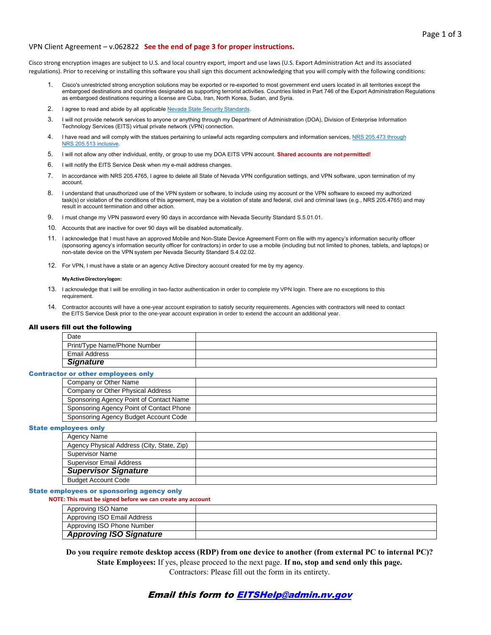### VPN Client Agreement – v.062822 **See the end of page 3 for proper instructions.**

Cisco strong encryption images are subject to U.S. and local country export, import and use laws (U.S. Export Administration Act and its associated regulations). Prior to receiving or installing this software you shall sign this document acknowledging that you will comply with the following conditions:

- 1. Cisco's unrestricted strong encryption solutions may be exported or re-exported to most government end users located in all territories except the embargoed destinations and countries designated as supporting terrorist activities. Countries listed in Part 746 of the Export Administration Regulations as embargoed destinations requiring a license are Cuba, Iran, North Korea, Sudan, and Syria.
- 2. I agree to read and abide by all applicable [Nevada State Security Standards](https://it.nv.gov/Governance/Security/State_Security_Policies_Standards___Procedures/).
- r will not provide hetwork services to anyone or anything through my D<br>Technology Services (EITS) virtual private network (VPN) connection. 3. I will not provide network services to anyone or anything through my Department of Administration (DOA), Division of Enterprise Information
- 4. I have read and will comply with the statues pertaining to unlawful acts regarding computers and information services, [NRS 205.473 through](https://www.leg.state.nv.us/NRS/NRS-205.html#NRS205Sec473) [NRS 205.513 inclusive.](https://www.leg.state.nv.us/NRS/NRS-205.html#NRS205Sec473)
- 5. I will not allow any other individual, entity, or group to use my DOA EITS VPN account. **Shared accounts are not permitted!**
- 6. I will notify the EITS Service Desk when my e-mail address changes.
- 7. In accordance with NRS 205.4765, I agree to delete all State of Nevada VPN configuration settings, and VPN software, upon termination of my account.
- 8. I understand that unauthorized use of the VPN system or software, to include using my account or the VPN software to exceed my authorized<br>Accided a state of the conditions of this excessed may be a sightly as fatate and task(s) or violation of the conditions of this agreement, may be a violation of state and federal, civil and criminal laws (e.g., NRS 205.4765) and may result in account termination and other action.
- 9. I must change my VPN password every 90 days in accordance with Nevada Security Standard S.5.01.01.
- 10. Accounts that are inactive for over 90 days will be disabled automatically.
- 11. I acknowledge that I must have an approved Mobile and Non-State Device Agreement Form on file with my agency's information security officer  non-state device on the VPN system per Nevada Security Standard S.4.02.02. (sponsoring agency's information security officer for contractors) in order to use a mobile (including but not limited to phones, tablets, and laptops) or
- 12. For VPN, I must have a state or an agency Active Directory account created for me by my agency.

#### **My Active Directory logon:**

- 13. I acknowledge that I will be enrolling in two-factor authentication in order to complete my VPN login. There are no exceptions to this requirement.
- 14. Contractor accounts will have a one-year account expiration to satisfy security requirements. Agencies with contractors will need to contact the EITS Service Desk prior to the one-year account expiration in order to extend the account an additional year.

### All users fill out the following

| Date                         |  |
|------------------------------|--|
| Print/Type Name/Phone Number |  |
| Email Address                |  |
| <b>Signature</b>             |  |

#### **Contractor or other employees only**

| Company or Other Name                    |  |
|------------------------------------------|--|
| Company or Other Physical Address        |  |
| Sponsoring Agency Point of Contact Name  |  |
| Sponsoring Agency Point of Contact Phone |  |
| Sponsoring Agency Budget Account Code    |  |
|                                          |  |

### State employees only

| Agency Name                                |  |
|--------------------------------------------|--|
| Agency Physical Address (City, State, Zip) |  |
| <b>Supervisor Name</b>                     |  |
| <b>Supervisor Email Address</b>            |  |
| <b>Supervisor Signature</b>                |  |
| <b>Budget Account Code</b>                 |  |

### State employees or sponsoring agency only

| NOTE: This must be signed before we can create any account |  |
|------------------------------------------------------------|--|
| Approving ISO Name                                         |  |
| Approving ISO Email Address                                |  |
| Approving ISO Phone Number                                 |  |
| <b>Approving ISO Signature</b>                             |  |

 **Do you require remote desktop access (RDP) from one device to another (from external PC to internal PC)? State Employees:** If yes, please proceed to the next page. **If no, stop and send only this page.**  Contractors: Please fill out the form in its entirety.

# Email this form t[o EITSHelp@admin.nv.gov](mailto:EITSHelp@admin.nv.gov)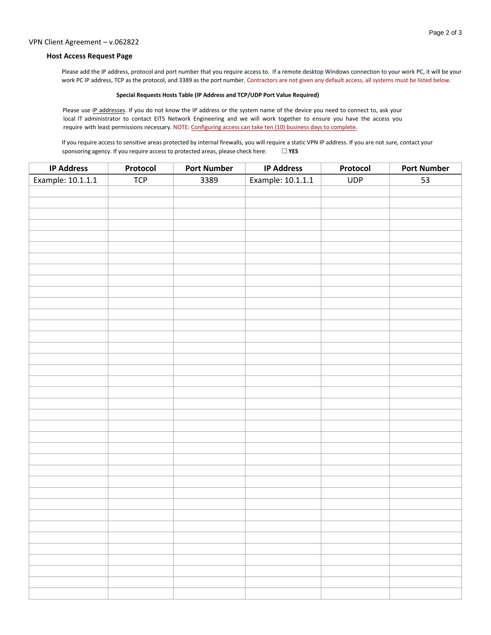### VPN Client Agreement – v.062822

## **Host Access Request Page**

Please add the IP address, protocol and port number that you require access to. If a remote desktop Windows connection to your work PC, it will be your work PC IP address, TCP as the protocol, and 3389 as the port number. Contractors are not given any default access, all systems must be listed below.

### **Special Requests Hosts Table (IP Address and TCP/UDP Port Value Required)**

Please use IP addresses. If you do not know the IP address or the system name of the device you need to connect to, ask your local IT administrator to contact EITS Network Engineering and we will work together to ensure you have the access you require with least permissions necessary. NOTE: Configuring access can take ten (10) business days to complete.

If you require access to sensitive areas protected by internal firewalls, you will require a static VPN IP address. If you are not sure, contact your sponsoring agency. If you require access to protected areas, please check here: □ YES

| <b>IP Address</b> | Protocol | <b>Port Number</b> | <b>IP Address</b> | Protocol   | <b>Port Number</b> |
|-------------------|----------|--------------------|-------------------|------------|--------------------|
| Example: 10.1.1.1 | TCP      | 3389               | Example: 10.1.1.1 | <b>UDP</b> | 53                 |
|                   |          |                    |                   |            |                    |
|                   |          |                    |                   |            |                    |
|                   |          |                    |                   |            |                    |
|                   |          |                    |                   |            |                    |
|                   |          |                    |                   |            |                    |
|                   |          |                    |                   |            |                    |
|                   |          |                    |                   |            |                    |
|                   |          |                    |                   |            |                    |
|                   |          |                    |                   |            |                    |
|                   |          |                    |                   |            |                    |
|                   |          |                    |                   |            |                    |
|                   |          |                    |                   |            |                    |
|                   |          |                    |                   |            |                    |
|                   |          |                    |                   |            |                    |
|                   |          |                    |                   |            |                    |
|                   |          |                    |                   |            |                    |
|                   |          |                    |                   |            |                    |
|                   |          |                    |                   |            |                    |
|                   |          |                    |                   |            |                    |
|                   |          |                    |                   |            |                    |
|                   |          |                    |                   |            |                    |
|                   |          |                    |                   |            |                    |
|                   |          |                    |                   |            |                    |
|                   |          |                    |                   |            |                    |
|                   |          |                    |                   |            |                    |
|                   |          |                    |                   |            |                    |
|                   |          |                    |                   |            |                    |
|                   |          |                    |                   |            |                    |
|                   |          |                    |                   |            |                    |
|                   |          |                    |                   |            |                    |
|                   |          |                    |                   |            |                    |
|                   |          |                    |                   |            |                    |
|                   |          |                    |                   |            |                    |
|                   |          |                    |                   |            |                    |
|                   |          |                    |                   |            |                    |
|                   |          |                    |                   |            |                    |
|                   |          |                    |                   |            |                    |